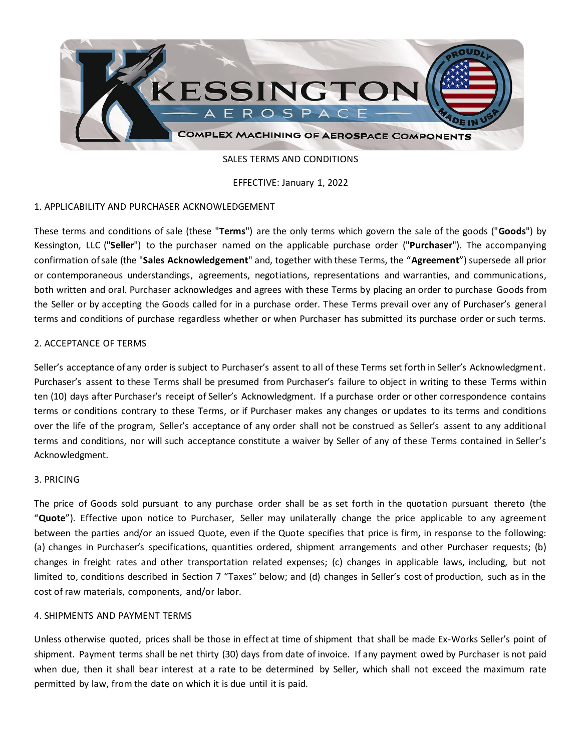

SALES TERMS AND CONDITIONS

EFFECTIVE: January 1, 2022

## 1. APPLICABILITY AND PURCHASER ACKNOWLEDGEMENT

These terms and conditions of sale (these "**Terms**") are the only terms which govern the sale of the goods ("**Goods**") by Kessington, LLC ("**Seller**") to the purchaser named on the applicable purchase order ("**Purchaser**"). The accompanying confirmation of sale (the "**Sales Acknowledgement**" and, together with these Terms, the "**Agreement**") supersede all prior or contemporaneous understandings, agreements, negotiations, representations and warranties, and communications, both written and oral. Purchaser acknowledges and agrees with these Terms by placing an order to purchase Goods from the Seller or by accepting the Goods called for in a purchase order. These Terms prevail over any of Purchaser's general terms and conditions of purchase regardless whether or when Purchaser has submitted its purchase order or such terms.

## 2. ACCEPTANCE OF TERMS

Seller's acceptance of any order is subject to Purchaser's assent to all of these Terms set forth in Seller's Acknowledgment. Purchaser's assent to these Terms shall be presumed from Purchaser's failure to object in writing to these Terms within ten (10) days after Purchaser's receipt of Seller's Acknowledgment. If a purchase order or other correspondence contains terms or conditions contrary to these Terms, or if Purchaser makes any changes or updates to its terms and conditions over the life of the program, Seller's acceptance of any order shall not be construed as Seller's assent to any additional terms and conditions, nor will such acceptance constitute a waiver by Seller of any of these Terms contained in Seller's Acknowledgment.

### 3. PRICING

The price of Goods sold pursuant to any purchase order shall be as set forth in the quotation pursuant thereto (the "**Quote**"). Effective upon notice to Purchaser, Seller may unilaterally change the price applicable to any agreement between the parties and/or an issued Quote, even if the Quote specifies that price is firm, in response to the following: (a) changes in Purchaser's specifications, quantities ordered, shipment arrangements and other Purchaser requests; (b) changes in freight rates and other transportation related expenses; (c) changes in applicable laws, including, but not limited to, conditions described in Section 7 "Taxes" below; and (d) changes in Seller's cost of production, such as in the cost of raw materials, components, and/or labor.

### 4. SHIPMENTS AND PAYMENT TERMS

Unless otherwise quoted, prices shall be those in effect at time of shipment that shall be made Ex-Works Seller's point of shipment. Payment terms shall be net thirty (30) days from date of invoice. If any payment owed by Purchaser is not paid when due, then it shall bear interest at a rate to be determined by Seller, which shall not exceed the maximum rate permitted by law, from the date on which it is due until it is paid.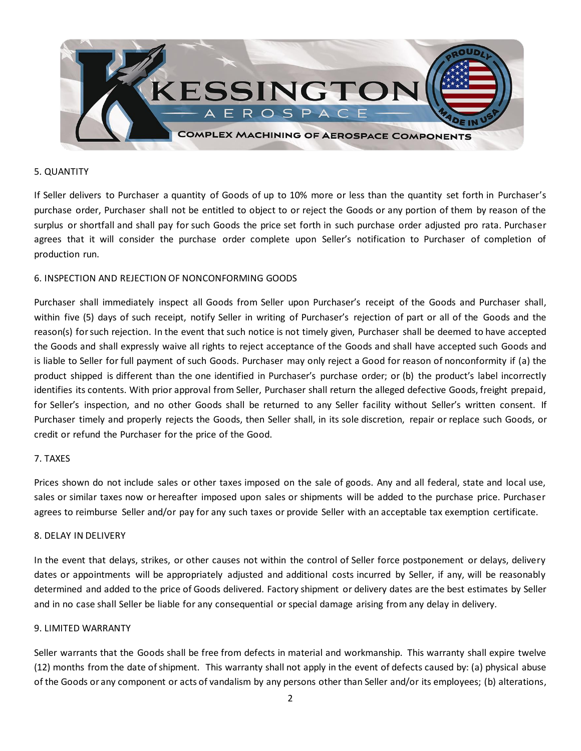

### 5. QUANTITY

If Seller delivers to Purchaser a quantity of Goods of up to 10% more or less than the quantity set forth in Purchaser's purchase order, Purchaser shall not be entitled to object to or reject the Goods or any portion of them by reason of the surplus or shortfall and shall pay for such Goods the price set forth in such purchase order adjusted pro rata. Purchaser agrees that it will consider the purchase order complete upon Seller's notification to Purchaser of completion of production run.

## 6. INSPECTION AND REJECTION OF NONCONFORMING GOODS

Purchaser shall immediately inspect all Goods from Seller upon Purchaser's receipt of the Goods and Purchaser shall, within five (5) days of such receipt, notify Seller in writing of Purchaser's rejection of part or all of the Goods and the reason(s) for such rejection. In the event that such notice is not timely given, Purchaser shall be deemed to have accepted the Goods and shall expressly waive all rights to reject acceptance of the Goods and shall have accepted such Goods and is liable to Seller for full payment of such Goods. Purchaser may only reject a Good for reason of nonconformity if (a) the product shipped is different than the one identified in Purchaser's purchase order; or (b) the product's label incorrectly identifies its contents. With prior approval from Seller, Purchaser shall return the alleged defective Goods, freight prepaid, for Seller's inspection, and no other Goods shall be returned to any Seller facility without Seller's written consent. If Purchaser timely and properly rejects the Goods, then Seller shall, in its sole discretion, repair or replace such Goods, or credit or refund the Purchaser for the price of the Good.

### 7. TAXES

Prices shown do not include sales or other taxes imposed on the sale of goods. Any and all federal, state and local use, sales or similar taxes now or hereafter imposed upon sales or shipments will be added to the purchase price. Purchaser agrees to reimburse Seller and/or pay for any such taxes or provide Seller with an acceptable tax exemption certificate.

### 8. DELAY IN DELIVERY

In the event that delays, strikes, or other causes not within the control of Seller force postponement or delays, delivery dates or appointments will be appropriately adjusted and additional costs incurred by Seller, if any, will be reasonably determined and added to the price of Goods delivered. Factory shipment or delivery dates are the best estimates by Seller and in no case shall Seller be liable for any consequential or special damage arising from any delay in delivery.

## 9. LIMITED WARRANTY

Seller warrants that the Goods shall be free from defects in material and workmanship. This warranty shall expire twelve (12) months from the date of shipment. This warranty shall not apply in the event of defects caused by: (a) physical abuse of the Goods or any component or acts of vandalism by any persons other than Seller and/or its employees; (b) alterations,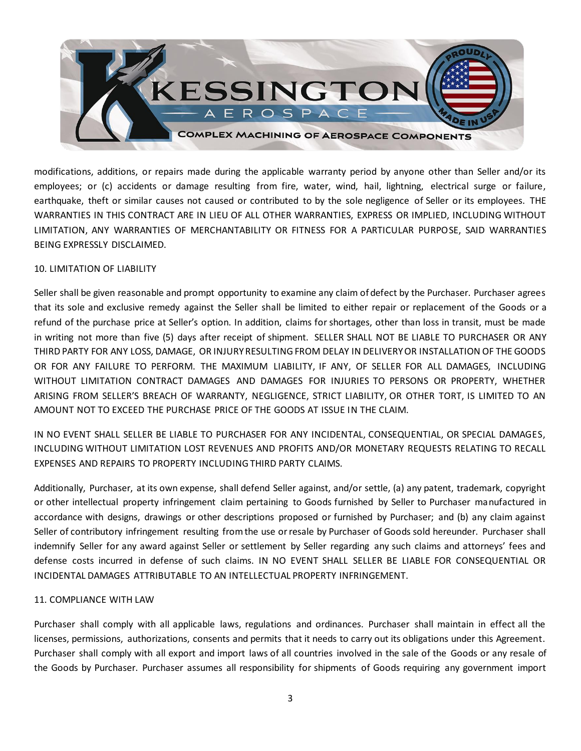

modifications, additions, or repairs made during the applicable warranty period by anyone other than Seller and/or its employees; or (c) accidents or damage resulting from fire, water, wind, hail, lightning, electrical surge or failure, earthquake, theft or similar causes not caused or contributed to by the sole negligence of Seller or its employees. THE WARRANTIES IN THIS CONTRACT ARE IN LIEU OF ALL OTHER WARRANTIES, EXPRESS OR IMPLIED, INCLUDING WITHOUT LIMITATION, ANY WARRANTIES OF MERCHANTABILITY OR FITNESS FOR A PARTICULAR PURPOSE, SAID WARRANTIES BEING EXPRESSLY DISCLAIMED.

### 10. LIMITATION OF LIABILITY

Seller shall be given reasonable and prompt opportunity to examine any claim of defect by the Purchaser. Purchaser agrees that its sole and exclusive remedy against the Seller shall be limited to either repair or replacement of the Goods or a refund of the purchase price at Seller's option. In addition, claims for shortages, other than loss in transit, must be made in writing not more than five (5) days after receipt of shipment. SELLER SHALL NOT BE LIABLE TO PURCHASER OR ANY THIRD PARTY FOR ANY LOSS, DAMAGE, OR INJURY RESULTING FROM DELAY IN DELIVERY OR INSTALLATION OF THE GOODS OR FOR ANY FAILURE TO PERFORM. THE MAXIMUM LIABILITY, IF ANY, OF SELLER FOR ALL DAMAGES, INCLUDING WITHOUT LIMITATION CONTRACT DAMAGES AND DAMAGES FOR INJURIES TO PERSONS OR PROPERTY, WHETHER ARISING FROM SELLER'S BREACH OF WARRANTY, NEGLIGENCE, STRICT LIABILITY, OR OTHER TORT, IS LIMITED TO AN AMOUNT NOT TO EXCEED THE PURCHASE PRICE OF THE GOODS AT ISSUE IN THE CLAIM.

IN NO EVENT SHALL SELLER BE LIABLE TO PURCHASER FOR ANY INCIDENTAL, CONSEQUENTIAL, OR SPECIAL DAMAGES, INCLUDING WITHOUT LIMITATION LOST REVENUES AND PROFITS AND/OR MONETARY REQUESTS RELATING TO RECALL EXPENSES AND REPAIRS TO PROPERTY INCLUDING THIRD PARTY CLAIMS.

Additionally, Purchaser, at its own expense, shall defend Seller against, and/or settle, (a) any patent, trademark, copyright or other intellectual property infringement claim pertaining to Goods furnished by Seller to Purchaser manufactured in accordance with designs, drawings or other descriptions proposed or furnished by Purchaser; and (b) any claim against Seller of contributory infringement resulting from the use or resale by Purchaser of Goods sold hereunder. Purchaser shall indemnify Seller for any award against Seller or settlement by Seller regarding any such claims and attorneys' fees and defense costs incurred in defense of such claims. IN NO EVENT SHALL SELLER BE LIABLE FOR CONSEQUENTIAL OR INCIDENTAL DAMAGES ATTRIBUTABLE TO AN INTELLECTUAL PROPERTY INFRINGEMENT.

# 11. COMPLIANCE WITH LAW

Purchaser shall comply with all applicable laws, regulations and ordinances. Purchaser shall maintain in effect all the licenses, permissions, authorizations, consents and permits that it needs to carry out its obligations under this Agreement. Purchaser shall comply with all export and import laws of all countries involved in the sale of the Goods or any resale of the Goods by Purchaser. Purchaser assumes all responsibility for shipments of Goods requiring any government import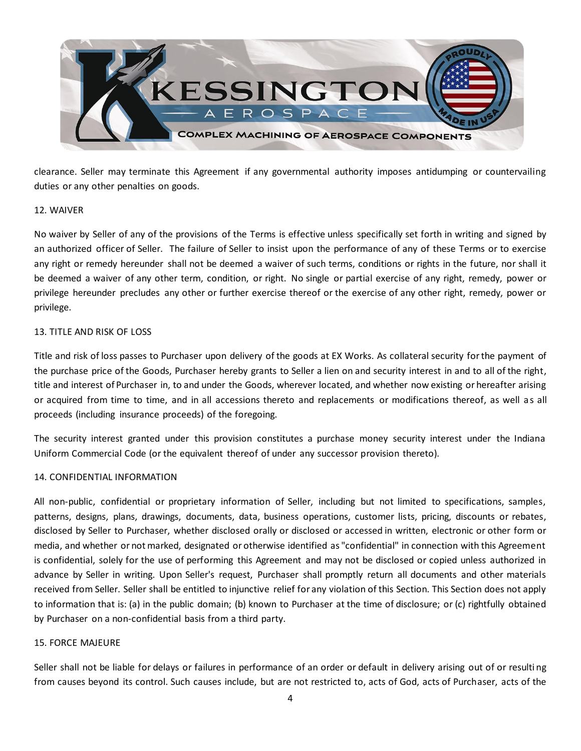

clearance. Seller may terminate this Agreement if any governmental authority imposes antidumping or countervailing duties or any other penalties on goods.

### 12. WAIVER

No waiver by Seller of any of the provisions of the Terms is effective unless specifically set forth in writing and signed by an authorized officer of Seller. The failure of Seller to insist upon the performance of any of these Terms or to exercise any right or remedy hereunder shall not be deemed a waiver of such terms, conditions or rights in the future, nor shall it be deemed a waiver of any other term, condition, or right. No single or partial exercise of any right, remedy, power or privilege hereunder precludes any other or further exercise thereof or the exercise of any other right, remedy, power or privilege.

### 13. TITLE AND RISK OF LOSS

Title and risk of loss passes to Purchaser upon delivery of the goods at EX Works. As collateral security for the payment of the purchase price of the Goods, Purchaser hereby grants to Seller a lien on and security interest in and to all of the right, title and interest of Purchaser in, to and under the Goods, wherever located, and whether now existing or hereafter arising or acquired from time to time, and in all accessions thereto and replacements or modifications thereof, as well as all proceeds (including insurance proceeds) of the foregoing.

The security interest granted under this provision constitutes a purchase money security interest under the Indiana Uniform Commercial Code (or the equivalent thereof of under any successor provision thereto).

## 14. CONFIDENTIAL INFORMATION

All non-public, confidential or proprietary information of Seller, including but not limited to specifications, samples, patterns, designs, plans, drawings, documents, data, business operations, customer lists, pricing, discounts or rebates, disclosed by Seller to Purchaser, whether disclosed orally or disclosed or accessed in written, electronic or other form or media, and whether or not marked, designated or otherwise identified as "confidential" in connection with this Agreement is confidential, solely for the use of performing this Agreement and may not be disclosed or copied unless authorized in advance by Seller in writing. Upon Seller's request, Purchaser shall promptly return all documents and other materials received from Seller. Seller shall be entitled to injunctive relief for any violation of this Section. This Section does not apply to information that is: (a) in the public domain; (b) known to Purchaser at the time of disclosure; or (c) rightfully obtained by Purchaser on a non-confidential basis from a third party.

### 15. FORCE MAJEURE

Seller shall not be liable for delays or failures in performance of an order or default in delivery arising out of or resulti ng from causes beyond its control. Such causes include, but are not restricted to, acts of God, acts of Purchaser, acts of the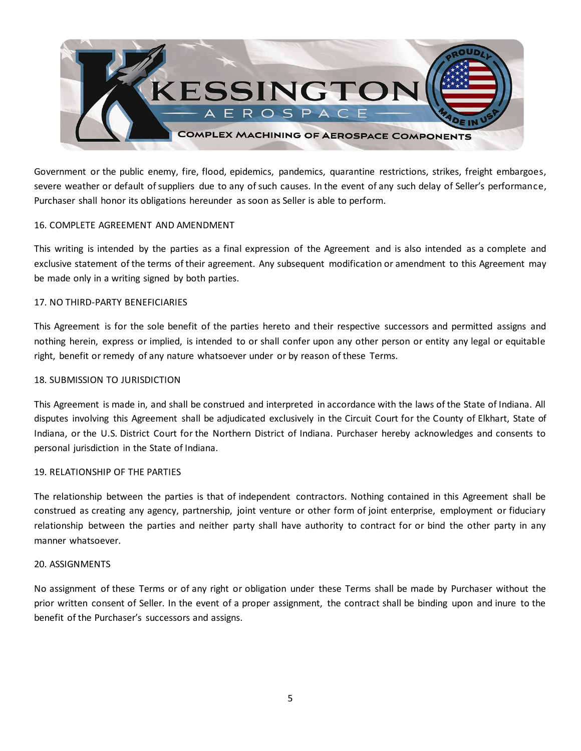

Government or the public enemy, fire, flood, epidemics, pandemics, quarantine restrictions, strikes, freight embargoes, severe weather or default of suppliers due to any of such causes. In the event of any such delay of Seller's performance, Purchaser shall honor its obligations hereunder as soon as Seller is able to perform.

### 16. COMPLETE AGREEMENT AND AMENDMENT

This writing is intended by the parties as a final expression of the Agreement and is also intended as a complete and exclusive statement of the terms of their agreement. Any subsequent modification or amendment to this Agreement may be made only in a writing signed by both parties.

### 17. NO THIRD-PARTY BENEFICIARIES

This Agreement is for the sole benefit of the parties hereto and their respective successors and permitted assigns and nothing herein, express or implied, is intended to or shall confer upon any other person or entity any legal or equitable right, benefit or remedy of any nature whatsoever under or by reason of these Terms.

### 18. SUBMISSION TO JURISDICTION

This Agreement is made in, and shall be construed and interpreted in accordance with the laws of the State of Indiana. All disputes involving this Agreement shall be adjudicated exclusively in the Circuit Court for the County of Elkhart, State of Indiana, or the U.S. District Court for the Northern District of Indiana. Purchaser hereby acknowledges and consents to personal jurisdiction in the State of Indiana.

### 19. RELATIONSHIP OF THE PARTIES

The relationship between the parties is that of independent contractors. Nothing contained in this Agreement shall be construed as creating any agency, partnership, joint venture or other form of joint enterprise, employment or fiduciary relationship between the parties and neither party shall have authority to contract for or bind the other party in any manner whatsoever.

### 20. ASSIGNMENTS

No assignment of these Terms or of any right or obligation under these Terms shall be made by Purchaser without the prior written consent of Seller. In the event of a proper assignment, the contract shall be binding upon and inure to the benefit of the Purchaser's successors and assigns.